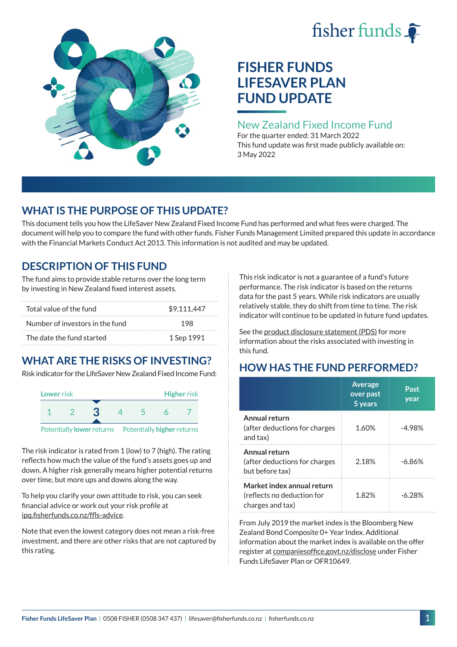# fisher funds



# **FISHER FUNDS LIFESAVER PLAN FUND UPDATE**

### New Zealand Fixed Income Fund

For the quarter ended: 31 March 2022 This fund update was first made publicly available on: 3 May 2022

## **WHAT IS THE PURPOSE OF THIS UPDATE?**

This document tells you how the LifeSaver New Zealand Fixed Income Fund has performed and what fees were charged. The document will help you to compare the fund with other funds. Fisher Funds Management Limited prepared this update in accordance with the Financial Markets Conduct Act 2013. This information is not audited and may be updated.

## **DESCRIPTION OF THIS FUND**

The fund aims to provide stable returns over the long term by investing in New Zealand fixed interest assets.

| Total value of the fund         | \$9.111.447 |  |
|---------------------------------|-------------|--|
| Number of investors in the fund | 198         |  |
| The date the fund started       | 1 Sep 1991  |  |

## **WHAT ARE THE RISKS OF INVESTING?**

Risk indicator for the LifeSaver New Zealand Fixed Income Fund:



The risk indicator is rated from 1 (low) to 7 (high). The rating reflects how much the value of the fund's assets goes up and down. A higher risk generally means higher potential returns over time, but more ups and downs along the way.

To help you clarify your own attitude to risk, you can seek financial advice or work out your risk profile at [ipq.fisherfunds.co.nz/ffls-advice](https://ipq.fisherfunds.co.nz/ffls-advice).

Note that even the lowest category does not mean a risk-free investment, and there are other risks that are not captured by this rating.

This risk indicator is not a guarantee of a fund's future performance. The risk indicator is based on the returns data for the past 5 years. While risk indicators are usually relatively stable, they do shift from time to time. The risk indicator will continue to be updated in future fund updates.

See the [product disclosure statement \(PDS\)](https://fisherfunds.co.nz/assets/PDS/Fisher-Funds-LifeSaver-Plan-PDS.pdf) for more information about the risks associated with investing in this fund.

## **HOW HAS THE FUND PERFORMED?**

|                                                                              | <b>Average</b><br>over past<br>5 years | Past<br>year |
|------------------------------------------------------------------------------|----------------------------------------|--------------|
| Annual return<br>(after deductions for charges<br>and tax)                   | 1.60%                                  | -4.98%       |
| Annual return<br>(after deductions for charges<br>but before tax)            | 2.18%                                  | $-6.86\%$    |
| Market index annual return<br>(reflects no deduction for<br>charges and tax) | 1 ጸ2%                                  | -6 28%       |

From July 2019 the market index is the Bloomberg New Zealand Bond Composite 0+ Year Index. Additional information about the market index is available on the offer register at [companiesoffice.govt.nz/disclose](http://companiesoffice.govt.nz/disclose) under Fisher Funds LifeSaver Plan or OFR10649.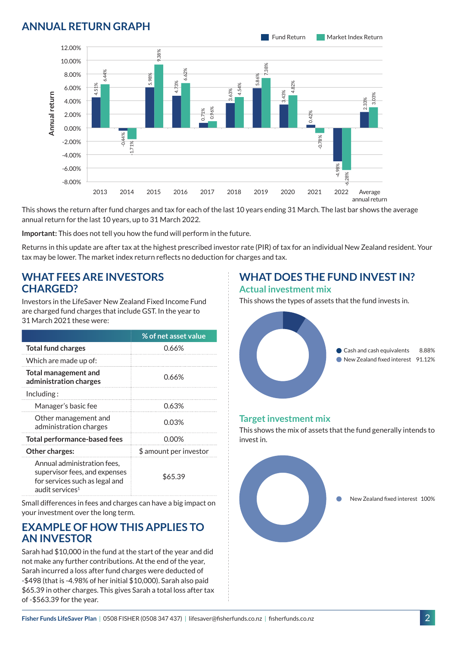## **ANNUAL RETURN GRAPH**



This shows the return after fund charges and tax for each of the last 10 years ending 31 March. The last bar shows the average annual return for the last 10 years, up to 31 March 2022.

**Important:** This does not tell you how the fund will perform in the future.

Returns in this update are after tax at the highest prescribed investor rate (PIR) of tax for an individual New Zealand resident. Your tax may be lower. The market index return reflects no deduction for charges and tax.

#### **WHAT FEES ARE INVESTORS CHARGED?**

Investors in the LifeSaver New Zealand Fixed Income Fund are charged fund charges that include GST. In the year to 31 March 2021 these were:

|                                                                                                                               | % of net asset value   |  |
|-------------------------------------------------------------------------------------------------------------------------------|------------------------|--|
| <b>Total fund charges</b>                                                                                                     | 0.66%                  |  |
| Which are made up of:                                                                                                         |                        |  |
| <b>Total management and</b><br>administration charges                                                                         | 0.66%                  |  |
| Including:                                                                                                                    |                        |  |
| Manager's basic fee                                                                                                           | 0.63%                  |  |
| Other management and<br>administration charges                                                                                | 0.03%                  |  |
| <b>Total performance-based fees</b>                                                                                           | 0.00%                  |  |
| Other charges:                                                                                                                | \$ amount per investor |  |
| Annual administration fees,<br>supervisor fees, and expenses<br>for services such as legal and<br>audit services <sup>1</sup> | \$65.39                |  |

Small differences in fees and charges can have a big impact on your investment over the long term.

#### **EXAMPLE OF HOW THIS APPLIES TO AN INVESTOR**

Sarah had \$10,000 in the fund at the start of the year and did not make any further contributions. At the end of the year, Sarah incurred a loss after fund charges were deducted of -\$498 (that is -4.98% of her initial \$10,000). Sarah also paid \$65.39 in other charges. This gives Sarah a total loss after tax of -\$563.39 for the year.

#### **WHAT DOES THE FUND INVEST IN? Actual investment mix**

This shows the types of assets that the fund invests in.



#### **Target investment mix**

This shows the mix of assets that the fund generally intends to invest in.